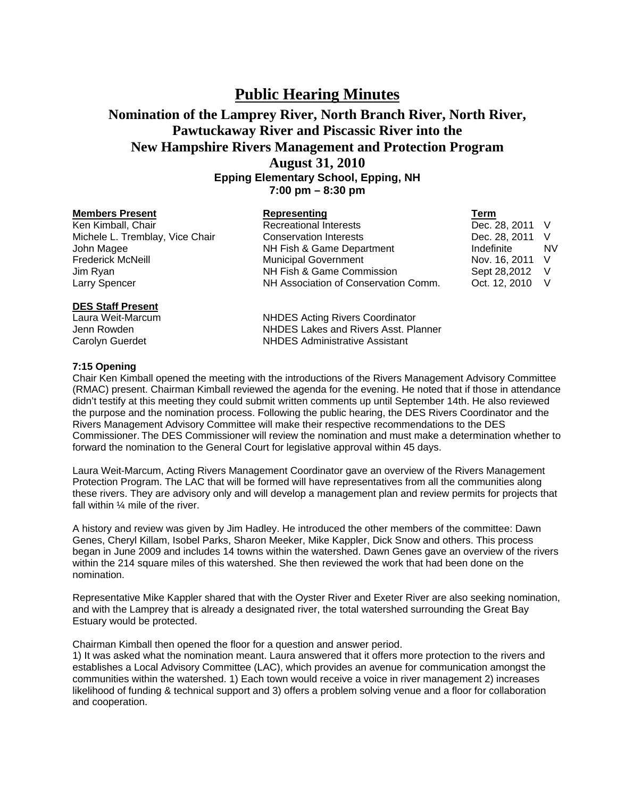## **Public Hearing Minutes**

## **Nomination of the Lamprey River, North Branch River, North River, Pawtuckaway River and Piscassic River into the New Hampshire Rivers Management and Protection Program August 31, 2010 Epping Elementary School, Epping, NH 7:00 pm – 8:30 pm**

| <b>Members Present</b>          | <b>Representing</b>                  | Term            |           |
|---------------------------------|--------------------------------------|-----------------|-----------|
| Ken Kimball, Chair              | <b>Recreational Interests</b>        | Dec. 28, 2011 V |           |
| Michele L. Tremblay, Vice Chair | <b>Conservation Interests</b>        | Dec. 28, 2011 V |           |
| John Magee                      | NH Fish & Game Department            | Indefinite      | <b>NV</b> |
| Frederick McNeill               | <b>Municipal Government</b>          | Nov. 16, 2011 V |           |
| Jim Ryan                        | NH Fish & Game Commission            | Sept 28,2012 V  |           |
| Larry Spencer                   | NH Association of Conservation Comm. | Oct. 12, 2010 V |           |
| <b>DES Staff Present</b>        |                                      |                 |           |

Laura Weit-Marcum NHDES Acting Rivers Coordinator Jenn Rowden NHDES Lakes and Rivers Asst. Planner Carolyn Guerdet NHDES Administrative Assistant

## **7:15 Opening**

Chair Ken Kimball opened the meeting with the introductions of the Rivers Management Advisory Committee (RMAC) present. Chairman Kimball reviewed the agenda for the evening. He noted that if those in attendance didn't testify at this meeting they could submit written comments up until September 14th. He also reviewed the purpose and the nomination process. Following the public hearing, the DES Rivers Coordinator and the Rivers Management Advisory Committee will make their respective recommendations to the DES Commissioner. The DES Commissioner will review the nomination and must make a determination whether to forward the nomination to the General Court for legislative approval within 45 days.

Laura Weit-Marcum, Acting Rivers Management Coordinator gave an overview of the Rivers Management Protection Program. The LAC that will be formed will have representatives from all the communities along these rivers. They are advisory only and will develop a management plan and review permits for projects that fall within ¼ mile of the river.

A history and review was given by Jim Hadley. He introduced the other members of the committee: Dawn Genes, Cheryl Killam, Isobel Parks, Sharon Meeker, Mike Kappler, Dick Snow and others. This process began in June 2009 and includes 14 towns within the watershed. Dawn Genes gave an overview of the rivers within the 214 square miles of this watershed. She then reviewed the work that had been done on the nomination.

Representative Mike Kappler shared that with the Oyster River and Exeter River are also seeking nomination, and with the Lamprey that is already a designated river, the total watershed surrounding the Great Bay Estuary would be protected.

Chairman Kimball then opened the floor for a question and answer period.

1) It was asked what the nomination meant. Laura answered that it offers more protection to the rivers and establishes a Local Advisory Committee (LAC), which provides an avenue for communication amongst the communities within the watershed. 1) Each town would receive a voice in river management 2) increases likelihood of funding & technical support and 3) offers a problem solving venue and a floor for collaboration and cooperation.